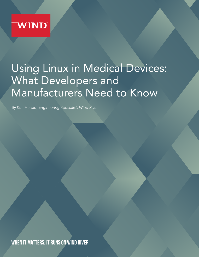

# Using Linux in Medical Devices: What Developers and Manufacturers Need to Know

*By Ken Herold, Engineering Specialist, Wind River*

WHEN IT MATTERS, IT RUNS ON WIND RIVER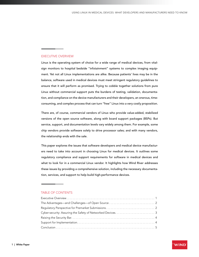## EXECUTIVE OVERVIEW

Linux is the operating system of choice for a wide range of medical devices, from vitalsign monitors to hospital bedside "infotainment" systems to complex imaging equipment. Yet not all Linux implementations are alike. Because patients' lives may be in the balance, software used in medical devices must meet stringent regulatory guidelines to ensure that it will perform as promised. Trying to cobble together solutions from pure Linux without commercial support puts the burdens of testing, validation, documentation, and compliance on the device manufacturers and their developers, an onerous, timeconsuming, and complex process that can turn "free" Linux into a very costly proposition.

There are, of course, commercial vendors of Linux who provide value-added, stabilized versions of the open source software, along with board support packages (BSPs). But service, support, and documentation levels vary widely among them. For example, some chip vendors provide software solely to drive processor sales; and with many vendors, the relationship ends with the sale.

This paper explores the issues that software developers and medical device manufacturers need to take into account in choosing Linux for medical devices. It outlines some regulatory compliance and support requirements for software in medical devices and what to look for in a commercial Linux vendor. It highlights how Wind River addresses these issues by providing a comprehensive solution, including the necessary documentation, services, and support to help build high-performance devices.

#### TABLE OF CONTENTS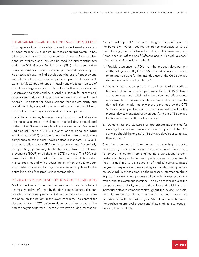# THE ADVANTAGES—AND CHALLENGES—OF OPEN SOURCE

Linux appears in a wide variety of medical devices—for a variety of good reasons. As a general purpose operating system, it has all of the advantages that open source presents. Free distributions are available and they can be modified and redistributed under the GNU General Public License (GPL). It has been widely adopted, scrutinized, and embraced by thousands of developers. As a result, it's easy to find developers who use it frequently and know it intimately. Linux also enjoys the support of all major hardware manufacturers and runs on virtually any processor. On top of that, it has a large ecosystem of board and software providers that use proven toolchains and APIs. And it is known for exceptional graphics support, including popular frameworks such as Qt and Android—important for device screens that require clarity and readability. This, along with the innovation and maturity of Linux, has made it a mainstay in medical device development.

For all its advantages, however, using Linux in a medical device also poses a number of challenges. Medical devices marketed in the United States are regulated by the Center for Device and Radiological Health (CDRH), a branch of the Food and Drug Administration (FDA). Whether or not device makers are claiming compliance to the medical device software standard IEC 62304, they must follow several FDA guidance documents. Accordingly, an operating system may be treated as software of unknown provenance (SOUP) or off-the-shelf (OTS) software. The FDA also makes it clear that the burden of ensuring safe and reliable performance does not end with product launch. When evaluating operating systems, planning for bug fixes and security updates for the entire life cycle of the product is recommended.

## REGULATORY PERSPECTIVE FOR PREMARKET SUBMISSIONS

Medical devices and their components must undergo a hazard analysis, typically performed by the device manufacturer. The purpose is not to try and predict a likelihood of failure but to analyze the effect on the patient in the event of failure. The content for documentation of OTS software depends on the results of the hazard analysis performed. There are two levels of documentation: "basic" and "special." The more stringent "special" level, in the FDA's own words, requires the device manufacturer to do the following (from "Guidance for Industry, FDA Reviewers, and Compliance on Off-the-Shelf Software Use in Medical Devices," U.S. Food and Drug Administration):

- 1. "Provide assurance to FDA that the product development methodologies used by the OTS Software developer are appropriate and sufficient for the intended use of the OTS Software within the specific medical device."
- 2. "Demonstrate that the procedures and results of the verification and validation activities performed for the OTS Software are appropriate and sufficient for the safety and effectiveness requirements of the medical device. Verification and validation activities include not only those performed by the OTS Software developer, but also include those performed by the medical device manufacturer when qualifying the OTS Software for its use in the specific medical device."
- 3. "Demonstrate the existence of appropriate mechanisms for assuring the continued maintenance and support of the OTS Software should the original OTS Software developer terminate their support."

Choosing a commercial Linux vendor that can help a device maker satisfy these requirements is essential. Wind River strives to remove the burden from engineering organizations to demonstrate to their purchasing and quality assurance departments that it is qualified to be a supplier of medical software. Based on years of experience in responding to manufacturer questionnaires, Wind River has compiled the necessary information about its product development process and controls, its support organization, and its overall qualifications. This by no means reduces the company's responsibility to assure the safety and reliability of an individual software component throughout the device life cycle, nor is it intended to mitigate the need for an audit should one be indicated by the hazard analysis. What it can do is streamline the purchasing approval process and allow engineers to focus on building their products.

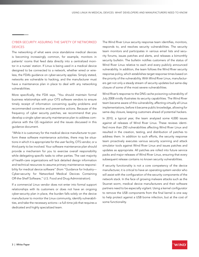# CYBER-SECURITY: ASSURING THE SAFETY OF NETWORKED DEVICES

The networking of what were once standalone medical devices is becoming increasingly common, for example, monitors in patients' rooms that feed data directly into a centralized monitor in a nurses' station. If Linux is being used in a medical device designed to be connected to a network, whether wired or wireless, the FDA's guidance on cyber-security applies. Simply stated, networks are vulnerable to hacking, and the manufacturer must have a maintenance plan in place to deal with any networking vulnerabilities.

More specifically, the FDA says, "You should maintain formal business relationships with your OTS software vendors to ensure timely receipt of information concerning quality problems and recommended corrective and preventive actions. Because of the frequency of cyber security patches, we recommend that you develop a single cyber security maintenance plan to address compliance with the QS regulation and the issues discussed in this guidance document.

"While it is customary for the medical device manufacturer to perform these software maintenance activities, there may be situations in which it is appropriate for the user facility, OTS vendor, or a third party to be involved. Your software maintenance plan should provide a mechanism for you to exercise overall responsibility while delegating specific tasks to other parties. The vast majority of health-care organizations will lack detailed design information and technical resources to assume primary maintenance responsibility for medical device software" (from "Guidance for Industry— Cyber-security for Networked Medical Devices Containing Off-the-Shelf Software," U.S. Food and Drug Administration).

If a commercial Linux vendor does not enter into formal support relationships with its customers or does not have an ongoing cyber-security plan in place, the burden falls solely on the device manufacturer to monitor the Linux community, identify vulnerabilities, and take the necessary actions—a full-time job that requires a dedicated and highly specialized team.

The Wind River Linux security response team identifies, monitors, responds to, and resolves security vulnerabilities. The security team monitors and participates in various email lists and security forums, issues patches and alerts, and releases a bimonthly security bulletin. The bulletin notifies customers of the status of Wind River Linux relative to each and every publicly announced vulnerability. In addition, the team follows the Wind River security response policy, which establishes target response times based on the priority of the vulnerability. With Wind River Linux, manufacturers get not only a steady stream of security updates but same-day closure of some of the most severe vulnerabilities.

Wind River's response to the DNS cache poisoning vulnerability of July 2008 vividly illustrates its security capabilities. The Wind River team became aware of this vulnerability, affecting virtually all Linux implementations, before it became public knowledge, allowing for same-day closure, keeping customers ahead of potential hackers.

In 2010, a typical year, the team analyzed some 4,000 issues against all releases of Wind River Linux. These reviews identified more than 250 vulnerabilities affecting Wind River Linux and resulted in the creation, testing, and distribution of patches to address them. In addition to such efforts, the security response team proactively executes various security scanning and attack simulator tools against Wind River Linux and issues patches and updates as appropriate. All patches are rolled into future service packs and major releases of Wind River Linux, ensuring that every subsequent release contains no known security vulnerabilities.

If security functionality is not a core competency of the device manufacturer, it is critical to have an operating system vendor who will assist with the configuration of the security components of the network stack. In the face of growing malware attacks such as the Stuxnet worm, medical device manufacturers and their software partners need to be especially vigilant. Using a kernel configurator to remove the USB components from the final kernel is one way to help protect against a USB borne infection, but at the cost of some functionality.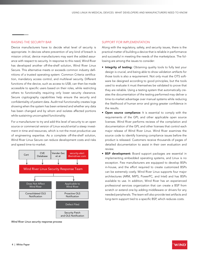#### RAISING THE SECURITY BAR

Device manufacturers have to decide what level of security is appropriate. In devices where prevention of any kind of breach is mission critical, device manufacturers may want the added assurance with respect to security. In response to this need, Wind River has developed another off-the-shelf solution, Wind River Linux Secure. This alternative meets or exceeds common industry definitions of a trusted operating system: Common Criteria certification, mandatory access control, and multilevel security. Different functions of the device, such as access to USB, can then be made accessible to specific users based on their roles, while restricting others to functionality requiring only lower security clearance. Secure cryptography capabilities help ensure the security and confidentiality of patient data. Audit trail functionality creates logs showing when the system has been entered and whether any data has been changed and by whom and isolates affected portions while sustaining uncorrupted functionality.

For a manufacturer to try and add this level of security to an open source or commercial version of Linux would entail a steep investment in time and resources, which is not the most productive use of engineering expertise. As a complete off-the-shelf solution, Wind River Linux Secure can reduce development costs and risks and speed time-to-market.



*Wind River Linux security response process* 

#### SUPPORT FOR IMPLEMENTATION

Along with the regulatory, safety, and security issues, there is the practical matter of building a device that is reliable in performance and successful in meeting the needs of the marketplace. The following are among the issues to consider:

- **Integrity of testing:** Obtaining quality tools to fully test your design is crucial, and being able to show validation artifacts for those tools is also a requirement. Not only must the OTS software be designed according to good principles, but the tools used to evaluate it must themselves be validated to prove that they are reliable. Using a testing system that automatically creates the documentation of the testing performed may deliver a time-to-market advantage over manual systems while reducing the likelihood of human error and giving greater confidence in the results.
- **Open source compliance:** It is essential to comply with the requirements of the GPL and other applicable open source licenses. Wind River performs reviews of the compilation and documentation of the GPL and other licenses that control each major release of Wind River Linux. Wind River examines the source code to identify licensing compliance issues before the product is released. Customers receive thousands of pages of detailed documentation to assist in their own evaluation and review.
- BSP development: Board support packages are essential in implementing embedded operating systems, and Linux is no exception. Few manufacturers are equipped to develop BSPs in-house, and the effort required to create customized BSPs can be extremely costly. Wind River Linux supports four major architectures (ARM, MIPS, PowerPC, and Intel) and has BSPs available to use. In addition, Wind River has an experienced professional services organization that can create a BSP from scratch or extend one by adding middleware or drivers for any needed peripherals. The team will also provide test artifacts and long-term support tied to a specific BSP, which reduces costs.